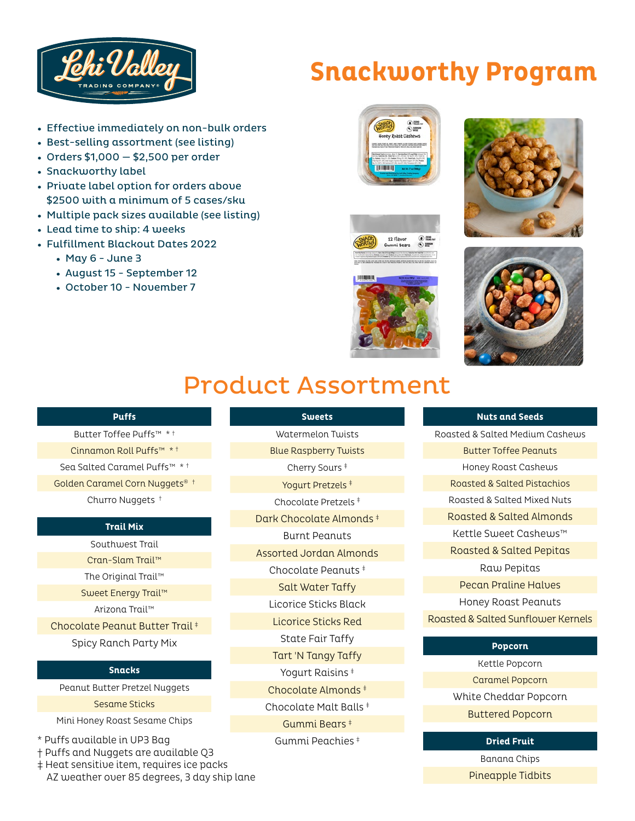

# **Snackworthy Program**

- Effective immediately on non-bulk orders
- Best-selling assortment (see listing)
- Orders \$1,000 \$2,500 per order
- Snackworthy label
- Private label option for orders above \$2500 with a minimum of 5 cases/sku
- Multiple pack sizes available (see listing)
- Lead time to ship: 4 weeks
- Fulfillment Blackout Dates 2022
	- $•$  May 6 June 3
	- August 15 September 12
	- October 10 November 7









## Product Assortment

**Sweets**

#### **Puffs**

Butter Toffee Puffs™ \* † Cinnamon Roll Puffs™ \* † Sea Salted Caramel Puffs™ \* † Golden Caramel Corn Nuggets® † Churro Nuggets †

#### **Trail Mix**

Southwest Trail Cran-Slam Trail™ The Original Trail™ Sweet Energy Trail™ Arizona Trail™ Chocolate Peanut Butter Trail ‡ Spicy Ranch Party Mix

#### **Snacks**

Peanut Butter Pretzel Nuggets

#### Sesame Sticks

Mini Honey Roast Sesame Chips

- \* Puffs available in UP3 Bag
- † Puffs and Nuggets are available Q3
- ‡ Heat sensitive item, requires ice packs AZ weather over 85 degrees, 3 day ship lane

Watermelon Twists Blue Raspberry Twists Cherry Sours ‡ Yogurt Pretzels ‡ Chocolate Pretzels ‡ Dark Chocolate Almonds ‡ Burnt Peanuts Assorted Jordan Almonds Chocolate Peanuts ‡ Salt Water Taffy Licorice Sticks Black Licorice Sticks Red State Fair Taffy Tart 'N Tangy Taffy Yogurt Raisins ‡ Chocolate Almonds ‡ Chocolate Malt Balls ‡ Gummi Bears ‡ Gummi Peachies ‡

#### **Nuts and Seeds**

Roasted & Salted Medium Cashews Butter Toffee Peanuts Honey Roast Cashews Roasted & Salted Pistachios Roasted & Salted Mixed Nuts Roasted & Salted Almonds Kettle Sweet Cashews™ Roasted & Salted Pepitas Raw Pepitas Pecan Praline Halves Honey Roast Peanuts Roasted & Salted Sunflower Kernels

#### **Popcorn**

Kettle Popcorn Caramel Popcorn White Cheddar Popcorn Buttered Popcorn

#### **Dried Fruit**

Banana Chips Pineapple Tidbits